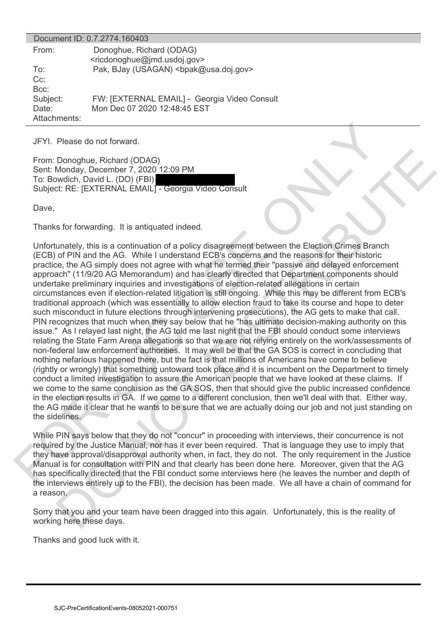| Document ID: 0.7.2774.160403      |                                                                                     |  |
|-----------------------------------|-------------------------------------------------------------------------------------|--|
| From:                             | Donoghue, Richard (ODAG)<br><ricdonoghue@jmd.usdoj.gov></ricdonoghue@jmd.usdoj.gov> |  |
| To:<br>$Cc$ :<br>$Bcc$ :          | Pak, BJay (USAGAN)<br>bpak@usa.doj.gov>                                             |  |
| Subject:<br>Date:<br>Attachments: | FW: [EXTERNAL EMAIL] - Georgia Video Consult<br>Mon Dec 07 2020 12:48:45 EST        |  |

JFYI. Please do not forward.

From: Donoghue, Richard (ODAG) Sent: Monday, December 7, 2020 12:09 PM To: Bowdich, David L. (DO) (FBI) Subject: RE: [EXTERNAL EMAIL] - Georgia Video Consult

Dave,

Thanks for forwarding. It is antiquated indeed.

Unfortunately, this is a continuation of a policy disagreement between the Election Crimes Branch (ECB) of PIN and the AG. While I understand ECB's concerns and the reasons for their historic practice, the AG simply does not agree with what he termed their "passive and delayed enforcement approach" (11/9/20 AG Memorandum) and has clearly directed that Department components should undertake preliminary inquiries and investigations of election-related allegations in certain circumstances even if election-related litigation is still ongoing. While this may be different from ECB's traditional approach (which was essentially to allow election fraud to take its course and hope to deter such misconduct in future elections through intervening prosecutions), the AG gets to make that call. PIN recognizes that much when they say below that he "has ultimate decision-making authority on this issue." As I relayed last night, the AG told me last night that the FBI should conduct some interviews relating the State Farm Arena allegations so that we are not relying entirely on the work/assessments of non-federal law enforcement authorities. It may well be that the GA SOS is correct in concluding that nothing nefarious happened there, but the fact is that millions of Americans have come to believe (rightly or wrongly) that something untoward took place and it is incumbent on the Department to timely conduct a limited investigation to assure the American people that we have looked at these claims. If we come to the same conclusion as the GA SOS, then that should give the public increased confidence in the election results in GA. If we come to a different conclusion, then we'll deal with that. Either way, the AG made it clear that he wants to be sure that we are actually doing our job and not just standing on the sidelines. Since do not forward<br>
SHOT. Please do not forward (ODAG)<br>
Since the Construct COAG)<br>
Since the CENTERNAL EMAIL - Georgia Video Consult<br>
The Uswedia, David L. (Do (FBI) 12:00 PM<br>
Study Constrained Index<br>
Uses an continuated Donoghue, Richard (ODAG)<br>
Monday, December 7, 2020 12:09 PM<br>
Modich, David L, (DO) (T5b)  $\frac{1}{10}$ <br>
Worldh, David L, (DO) (T5b)  $\frac{1}{10}$ <br>
Str. RE: [EXTERNAL EMAIL] - Georgia Video Consult<br>
Str. RE: [EXTERNAL EMAIL] - Ge

While PIN says below that they do not "concur" in proceeding with interviews, their concurrence is not required by the Justice Manual, nor has it ever been required. That is language they use to imply that they have approval/disapproval authority when, in fact, they do not. The only requirement in the Justice Manual is for consultation with PIN and that clearly has been done here. Moreover, given that the AG has specifically directed that the FBI conduct some interviews here (he leaves the number and depth of the interviews entirely up to the FBI), the decision has been made. We all have a chain of command for a reason.

Sorry that you and your team have been dragged into this again. Unfortunately, this is the reality of working here these days.

Thanks and good luck with it.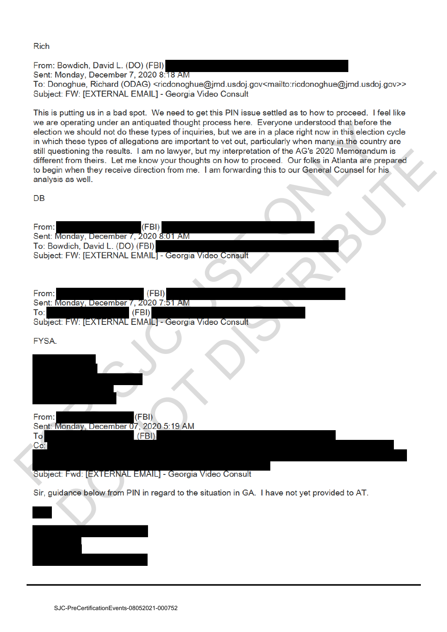**Rich** 

From: Bowdich, David L. (DO) (FBI)

Sent: Monday, December 7, 2020 8:18 AM

To: Donoghue, Richard (ODAG) <ricdonoghue@jmd.usdoj.gov<mailto:ricdonoghue@jmd.usdoj.gov>> Subject: FW: [EXTERNAL EMAIL] - Georgia Video Consult

This is putting us in a bad spot. We need to get this PIN issue settled as to how to proceed. I feel like

we are operating under an amequator too the students-of the Christmas (see the Christmas IV) and the studies of the studies of the studies of the studies of the studies of the studies of the studies of the studies of the s esioning the results. I am no lawyer, but my interpretation of the AGS 2020 Memorandum is<br>the minimum they receive direction from me. I am forwarding this to our Geheinal Characteristics<br>is as well.<br>Monday, December 7, 202

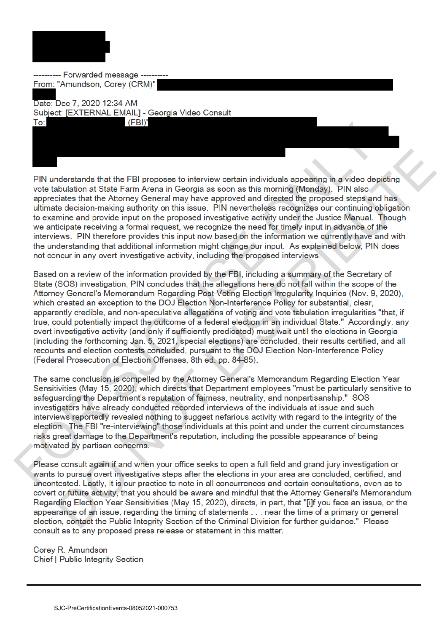

-- Forwarded message -From: "Amundson, Corey (CRM)" Date: Dec 7, 2020 12:34 AM Subject: [EXTERNAL EMAIL] - Georgia Video Consult

SM<br>
SPIN understands that the FBI proposes to interview certain individuals appearing in a visite of exity<br>so the sholution at State Farm Arena in Georgia as ason as this morning (Monday). FIN also<br>untrade decision-making nderstands that the FBI proposes to interview certain individuals appearing in a video depicting<br>bubitation at State Farm Arena in Geroria as secon as this morning Mendagy). PNI also<br>unitaristic that the Altomay General ma